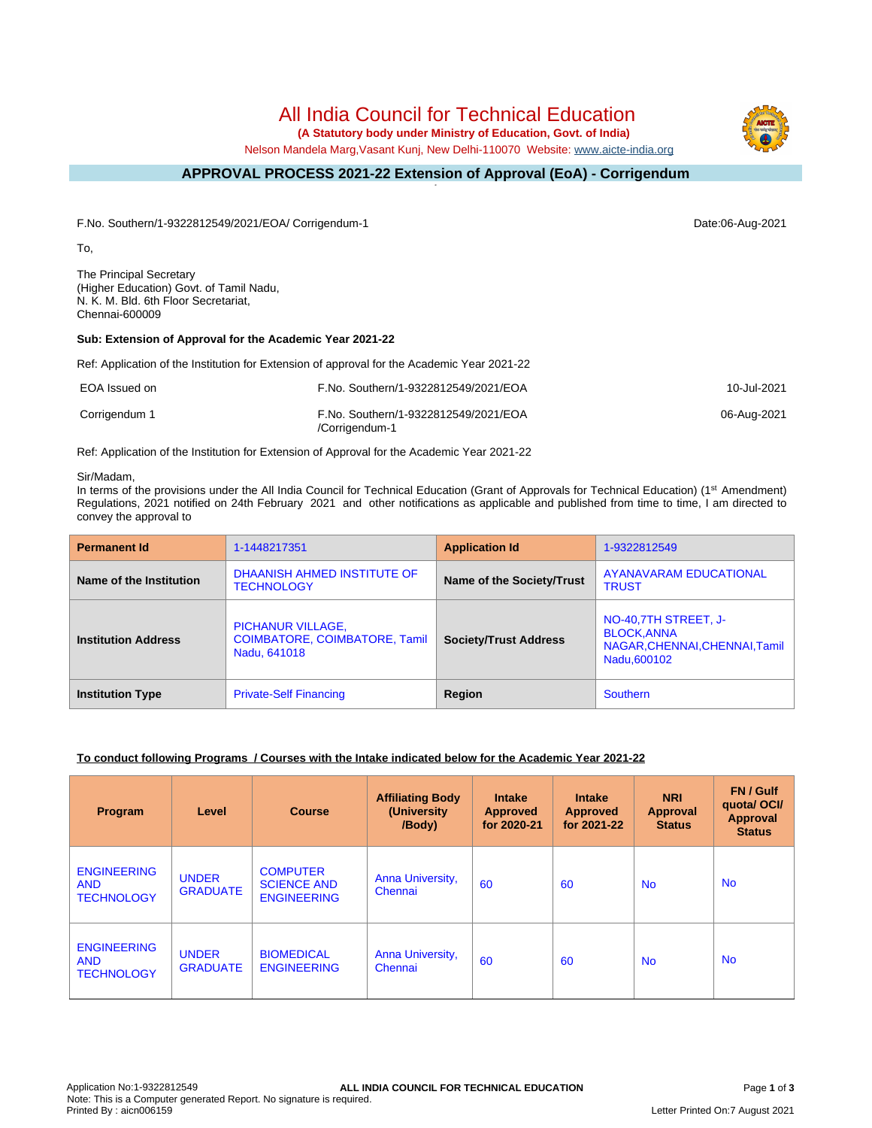# All India Council for Technical Education

 **(A Statutory body under Ministry of Education, Govt. of India)**

Nelson Mandela Marg,Vasant Kunj, New Delhi-110070 Website: [www.aicte-india.org](http://www.aicte-india.org)

#### **APPROVAL PROCESS 2021-22 Extension of Approval (EoA) - Corrigendum -**

F.No. Southern/1-9322812549/2021/EOA/ Corrigendum-1 Date:06-Aug-2021

To,

The Principal Secretary (Higher Education) Govt. of Tamil Nadu, N. K. M. Bld. 6th Floor Secretariat, Chennai-600009

# **Sub: Extension of Approval for the Academic Year 2021-22**

Ref: Application of the Institution for Extension of approval for the Academic Year 2021-22

| EOA Issued on | F.No. Southern/1-9322812549/2021/EOA                   | 10-Jul-2021 |
|---------------|--------------------------------------------------------|-------------|
| Corrigendum 1 | F.No. Southern/1-9322812549/2021/EOA<br>/Corrigendum-1 | 06-Aug-2021 |

Ref: Application of the Institution for Extension of Approval for the Academic Year 2021-22

#### Sir/Madam,

In terms of the provisions under the All India Council for Technical Education (Grant of Approvals for Technical Education) (1<sup>st</sup> Amendment) Regulations, 2021 notified on 24th February 2021 and other notifications as applicable and published from time to time, I am directed to convey the approval to

| <b>Permanent Id</b>        | 1-1448217351                                                              | <b>Application Id</b>        | 1-9322812549                                                                                 |
|----------------------------|---------------------------------------------------------------------------|------------------------------|----------------------------------------------------------------------------------------------|
| Name of the Institution    | DHAANISH AHMED INSTITUTE OF<br><b>TECHNOLOGY</b>                          | Name of the Society/Trust    | <b>AYANAVARAM EDUCATIONAL</b><br><b>TRUST</b>                                                |
| <b>Institution Address</b> | PICHANUR VILLAGE,<br><b>COIMBATORE, COIMBATORE, Tamil</b><br>Nadu, 641018 | <b>Society/Trust Address</b> | NO-40,7TH STREET, J-<br><b>BLOCK, ANNA</b><br>NAGAR, CHENNAI, CHENNAI, Tamil<br>Nadu, 600102 |
| <b>Institution Type</b>    | <b>Private-Self Financing</b>                                             | Region                       | <b>Southern</b>                                                                              |

# **To conduct following Programs / Courses with the Intake indicated below for the Academic Year 2021-22**

| Program                                               | Level                           | <b>Course</b>                                               | <b>Affiliating Body</b><br>(University<br>/Body) | <b>Intake</b><br><b>Approved</b><br>for 2020-21 | <b>Intake</b><br><b>Approved</b><br>for 2021-22 | <b>NRI</b><br><b>Approval</b><br><b>Status</b> | FN / Gulf<br>quotal OCI/<br><b>Approval</b><br><b>Status</b> |
|-------------------------------------------------------|---------------------------------|-------------------------------------------------------------|--------------------------------------------------|-------------------------------------------------|-------------------------------------------------|------------------------------------------------|--------------------------------------------------------------|
| <b>ENGINEERING</b><br><b>AND</b><br><b>TECHNOLOGY</b> | <b>UNDER</b><br><b>GRADUATE</b> | <b>COMPUTER</b><br><b>SCIENCE AND</b><br><b>ENGINEERING</b> | Anna University,<br>Chennai                      | 60                                              | 60                                              | <b>No</b>                                      | <b>No</b>                                                    |
| <b>ENGINEERING</b><br><b>AND</b><br><b>TECHNOLOGY</b> | <b>UNDER</b><br><b>GRADUATE</b> | <b>BIOMEDICAL</b><br><b>ENGINEERING</b>                     | Anna University,<br>Chennai                      | 60                                              | 60                                              | <b>No</b>                                      | <b>No</b>                                                    |

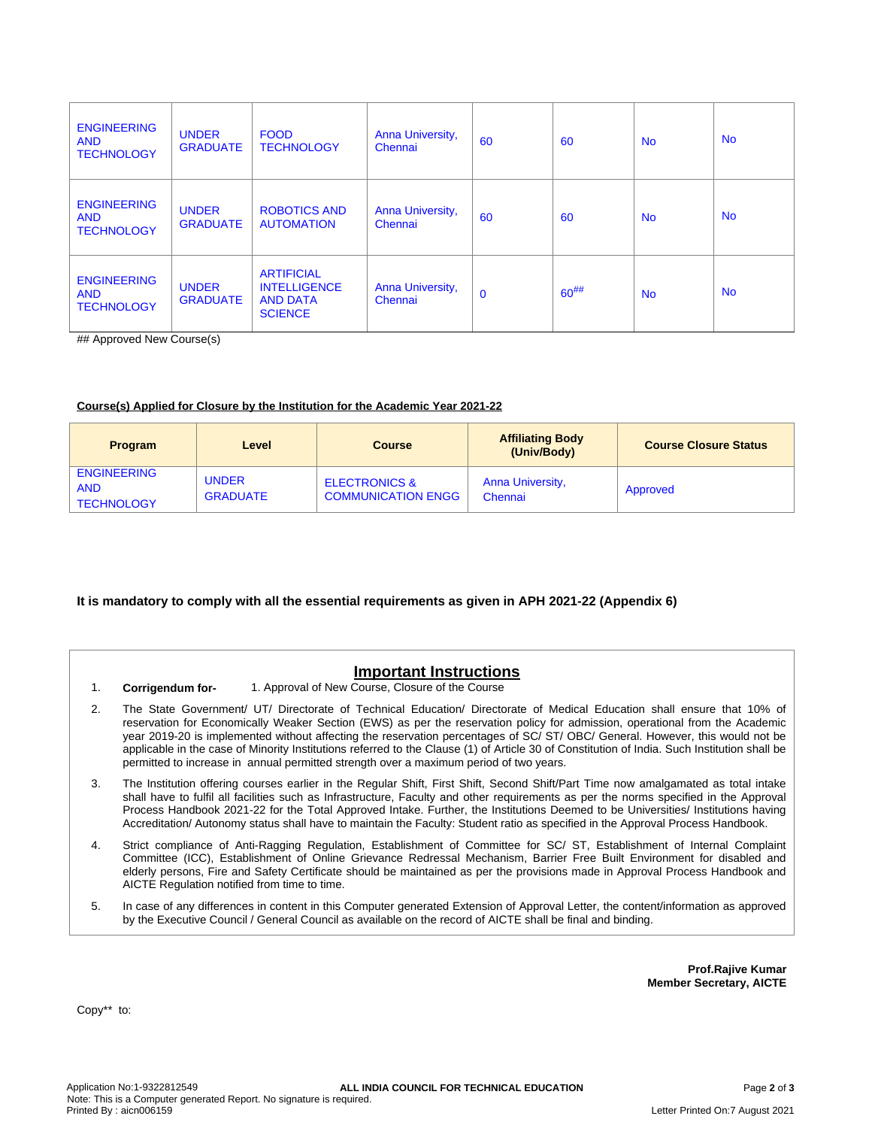| <b>ENGINEERING</b><br><b>AND</b><br><b>TECHNOLOGY</b> | <b>UNDER</b><br><b>GRADUATE</b> | <b>FOOD</b><br><b>TECHNOLOGY</b>                                              | Anna University,<br>Chennai | 60          | 60         | <b>No</b> | <b>No</b> |
|-------------------------------------------------------|---------------------------------|-------------------------------------------------------------------------------|-----------------------------|-------------|------------|-----------|-----------|
| <b>ENGINEERING</b><br><b>AND</b><br><b>TECHNOLOGY</b> | <b>UNDER</b><br><b>GRADUATE</b> | ROBOTICS AND<br><b>AUTOMATION</b>                                             | Anna University,<br>Chennai | 60          | 60         | <b>No</b> | <b>No</b> |
| <b>ENGINEERING</b><br><b>AND</b><br><b>TECHNOLOGY</b> | <b>UNDER</b><br><b>GRADUATE</b> | <b>ARTIFICIAL</b><br><b>INTELLIGENCE</b><br><b>AND DATA</b><br><b>SCIENCE</b> | Anna University,<br>Chennai | $\mathbf 0$ | $60^{#}\%$ | <b>No</b> | <b>No</b> |

## Approved New Course(s)

#### **Course(s) Applied for Closure by the Institution for the Academic Year 2021-22**

| <b>Program</b>                                        | Level                           | <b>Course</b>                                         | <b>Affiliating Body</b><br>(Univ/Body) | <b>Course Closure Status</b> |
|-------------------------------------------------------|---------------------------------|-------------------------------------------------------|----------------------------------------|------------------------------|
| <b>ENGINEERING</b><br><b>AND</b><br><b>TECHNOLOGY</b> | <b>UNDER</b><br><b>GRADUATE</b> | <b>ELECTRONICS &amp;</b><br><b>COMMUNICATION ENGG</b> | <b>Anna University,</b><br>Chennai     | Approved                     |

#### **It is mandatory to comply with all the essential requirements as given in APH 2021-22 (Appendix 6)**

# **Important Instructions**

- 1. **Corrigendum for-** 1. Approval of New Course, Closure of the Course
	-
- 2. The State Government/ UT/ Directorate of Technical Education/ Directorate of Medical Education shall ensure that 10% of reservation for Economically Weaker Section (EWS) as per the reservation policy for admission, operational from the Academic year 2019-20 is implemented without affecting the reservation percentages of SC/ ST/ OBC/ General. However, this would not be applicable in the case of Minority Institutions referred to the Clause (1) of Article 30 of Constitution of India. Such Institution shall be permitted to increase in annual permitted strength over a maximum period of two years.
- 3. The Institution offering courses earlier in the Regular Shift, First Shift, Second Shift/Part Time now amalgamated as total intake shall have to fulfil all facilities such as Infrastructure, Faculty and other requirements as per the norms specified in the Approval Process Handbook 2021-22 for the Total Approved Intake. Further, the Institutions Deemed to be Universities/ Institutions having Accreditation/ Autonomy status shall have to maintain the Faculty: Student ratio as specified in the Approval Process Handbook.
- 4. Strict compliance of Anti-Ragging Regulation, Establishment of Committee for SC/ ST, Establishment of Internal Complaint Committee (ICC), Establishment of Online Grievance Redressal Mechanism, Barrier Free Built Environment for disabled and elderly persons, Fire and Safety Certificate should be maintained as per the provisions made in Approval Process Handbook and AICTE Regulation notified from time to time.
- 5. In case of any differences in content in this Computer generated Extension of Approval Letter, the content/information as approved by the Executive Council / General Council as available on the record of AICTE shall be final and binding.

**Prof.Rajive Kumar Member Secretary, AICTE**

Copy\*\* to: